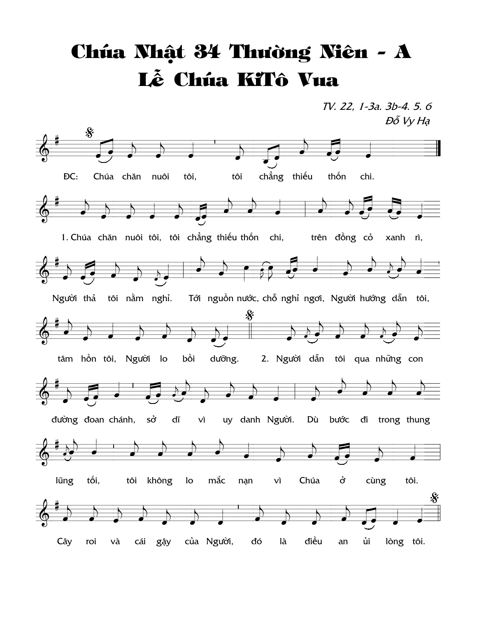## Chúa Nhật 34 Thường Niên - A Lễ Chúa KiTô Vua

TV. 22, 1-3a. 3b-4. 5. 6 Đỗ Vy Hạ